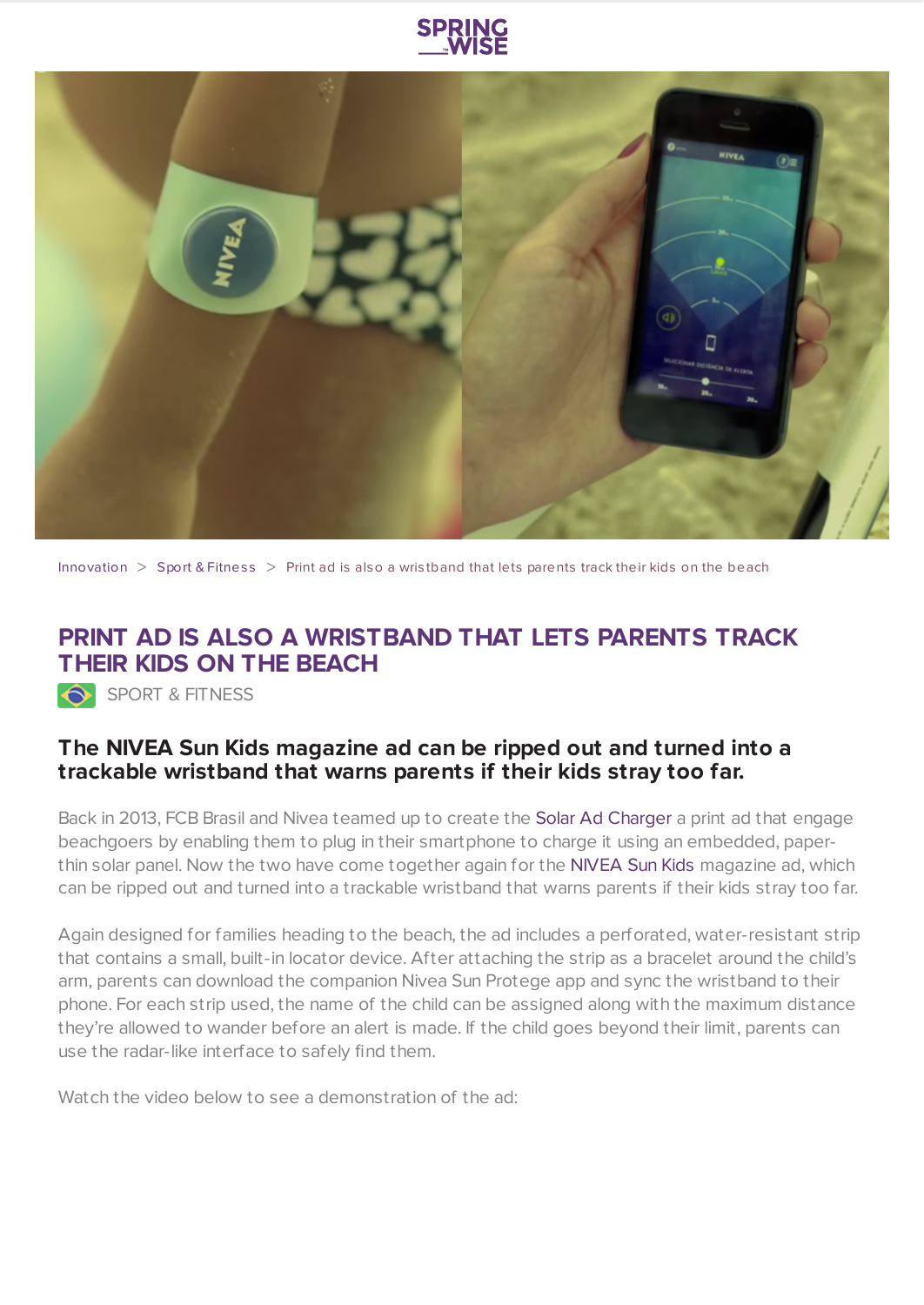



[Innovation](https://www.springwise.com/search?type=innovation)  $>$  Sport & [Fitnes](https://www.springwise.com/search?type=innovation§or=sport-fitness)s  $>$  Print ad is also a wristband that lets parents track their kids on the beach

## **PRINT AD IS ALSO A WRISTBAND THAT LETS PARENTS TRACK THEIR KIDS ON THE BEACH**

SPORT & FITNESS

## **The NIVEA Sun Kids magazine ad can be ripped out and turned into a trackable wristband that warns parents if their kids stray too far.**

Back in 2013, FCB Brasil and Nivea teamed up to create the Solar Ad [Charger](https://www.springwise.com/paper-thin-solar-panel-turns-print-ad-smartphone-charger/) a print ad that engage beachgoers by enabling them to plug in their smartphone to charge it using an embedded, paper-thin solar panel. Now the two have come together again for the [NIVEA](http://fcbbrasil.com.br/#!/imprensa/releases/anuncio-de-nivea-sun-kids,-criado-pela-fcb-brasil,-ajuda-os-pais-a-monitorarem-seus-filhos-na-praia/) Sun Kids magazine ad, which can be ripped out and turned into a trackable wristband that warns parents if their kids stray too far.

Again designed for families heading to the beach, the ad includes a perforated, water-resistant strip that contains a small, built-in locator device. After attaching the strip as a bracelet around the child's arm, parents can download the companion Nivea Sun Protege app and sync the wristband to their phone. For each strip used, the name of the child can be assigned along with the maximum distance they're allowed to wander before an alert is made. If the child goes beyond their limit, parents can use the radar-like interface to safely find them.

Watch the video below to see a demonstration of the ad: